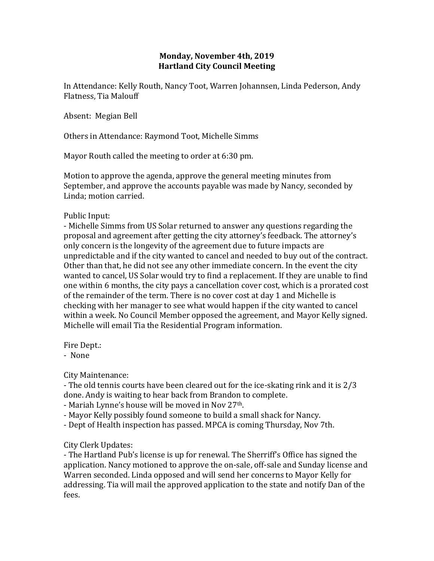## **Monday, November 4th, 2019 Hartland City Council Meeting**

In Attendance: Kelly Routh, Nancy Toot, Warren Johannsen, Linda Pederson, Andy Flatness, Tia Malouff

Absent: Megian Bell

Others in Attendance: Raymond Toot, Michelle Simms

Mayor Routh called the meeting to order at 6:30 pm.

Motion to approve the agenda, approve the general meeting minutes from September, and approve the accounts payable was made by Nancy, seconded by Linda; motion carried.

Public Input:

- Michelle Simms from US Solar returned to answer any questions regarding the proposal and agreement after getting the city attorney's feedback. The attorney's only concern is the longevity of the agreement due to future impacts are unpredictable and if the city wanted to cancel and needed to buy out of the contract. Other than that, he did not see any other immediate concern. In the event the city wanted to cancel, US Solar would try to find a replacement. If they are unable to find one within 6 months, the city pays a cancellation cover cost, which is a prorated cost of the remainder of the term. There is no cover cost at day 1 and Michelle is checking with her manager to see what would happen if the city wanted to cancel within a week. No Council Member opposed the agreement, and Mayor Kelly signed. Michelle will email Tia the Residential Program information.

Fire Dept.:

- None

City Maintenance:

- The old tennis courts have been cleared out for the ice-skating rink and it is 2/3 done. Andy is waiting to hear back from Brandon to complete.

- Mariah Lynne's house will be moved in Nov 27th.

- Mayor Kelly possibly found someone to build a small shack for Nancy.

- Dept of Health inspection has passed. MPCA is coming Thursday, Nov 7th.

City Clerk Updates:

- The Hartland Pub's license is up for renewal. The Sherriff's Office has signed the application. Nancy motioned to approve the on-sale, off-sale and Sunday license and Warren seconded. Linda opposed and will send her concerns to Mayor Kelly for addressing. Tia will mail the approved application to the state and notify Dan of the fees.